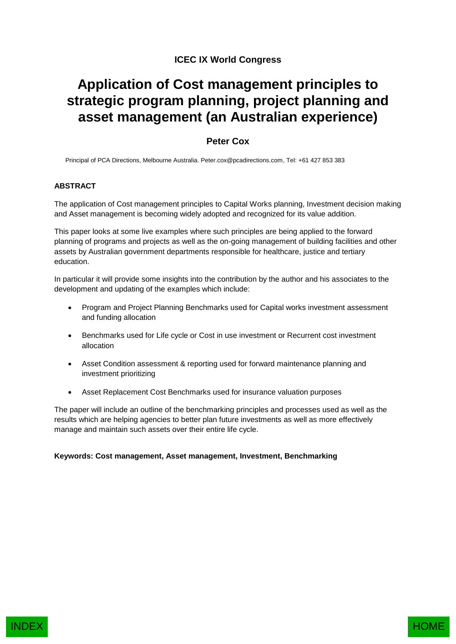# **ICEC IX World Congress**

# **Application of Cost management principles to strategic program planning, project planning and asset management (an Australian experience)**

# **Peter Cox**

Principal of PCA Directions, Melbourne Australia. Peter.cox@pcadirections.com, Tel: +61 427 853 383

# **ABSTRACT**

The application of Cost management principles to Capital Works planning, Investment decision making and Asset management is becoming widely adopted and recognized for its value addition.

This paper looks at some live examples where such principles are being applied to the forward planning of programs and projects as well as the on-going management of building facilities and other assets by Australian government departments responsible for healthcare, justice and tertiary education.

In particular it will provide some insights into the contribution by the author and his associates to the development and updating of the examples which include:

- Program and Project Planning Benchmarks used for Capital works investment assessment and funding allocation
- **•** Benchmarks used for Life cycle or Cost in use investment or Recurrent cost investment allocation
- Asset Condition assessment & reporting used for forward maintenance planning and investment prioritizing
- Asset Replacement Cost Benchmarks used for insurance valuation purposes

The paper will include an outline of the benchmarking principles and processes used as well as the results which are helping agencies to better plan future investments as well as more effectively manage and maintain such assets over their entire life cycle.

# **Keywords: Cost management, Asset management, Investment, Benchmarking**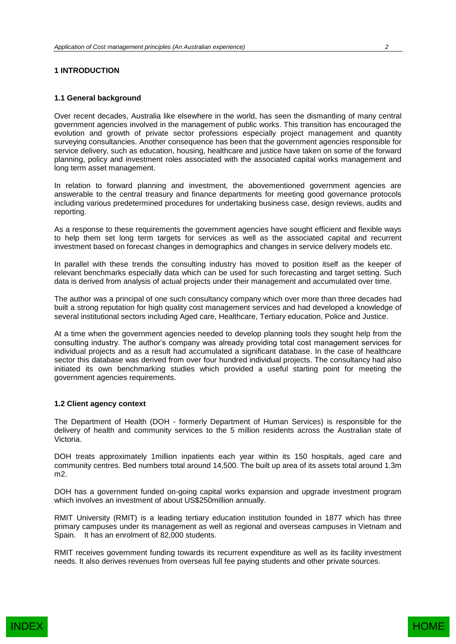# **1 INTRODUCTION**

#### **1.1 General background**

Over recent decades, Australia like elsewhere in the world, has seen the dismantling of many central government agencies involved in the management of public works. This transition has encouraged the evolution and growth of private sector professions especially project management and quantity surveying consultancies. Another consequence has been that the government agencies responsible for service delivery, such as education, housing, healthcare and justice have taken on some of the forward planning, policy and investment roles associated with the associated capital works management and long term asset management.

In relation to forward planning and investment, the abovementioned government agencies are answerable to the central treasury and finance departments for meeting good governance protocols including various predetermined procedures for undertaking business case, design reviews, audits and reporting.

As a response to these requirements the government agencies have sought efficient and flexible ways to help them set long term targets for services as well as the associated capital and recurrent investment based on forecast changes in demographics and changes in service delivery models etc.

In parallel with these trends the consulting industry has moved to position itself as the keeper of relevant benchmarks especially data which can be used for such forecasting and target setting. Such data is derived from analysis of actual projects under their management and accumulated over time.

The author was a principal of one such consultancy company which over more than three decades had built a strong reputation for high quality cost management services and had developed a knowledge of several institutional sectors including Aged care, Healthcare, Tertiary education, Police and Justice.

At a time when the government agencies needed to develop planning tools they sought help from the consulting industry. The author's company was already providing total cost management services for individual projects and as a result had accumulated a significant database. In the case of healthcare sector this database was derived from over four hundred individual projects. The consultancy had also initiated its own benchmarking studies which provided a useful starting point for meeting the government agencies requirements.

#### **1.2 Client agency context**

The Department of Health (DOH - formerly Department of Human Services) is responsible for the delivery of health and community services to the 5 million residents across the Australian state of Victoria.

DOH treats approximately 1million inpatients each year within its 150 hospitals, aged care and community centres. Bed numbers total around 14,500. The built up area of its assets total around 1.3m m2.

DOH has a government funded on-going capital works expansion and upgrade investment program which involves an investment of about US\$250million annually.

RMIT University (RMIT) is a leading tertiary education institution founded in 1877 which has three primary campuses under its management as well as regional and overseas campuses in Vietnam and Spain. It has an enrolment of 82,000 students.

RMIT receives government funding towards its recurrent expenditure as well as its facility investment needs. It also derives revenues from overseas full fee paying students and other private sources.

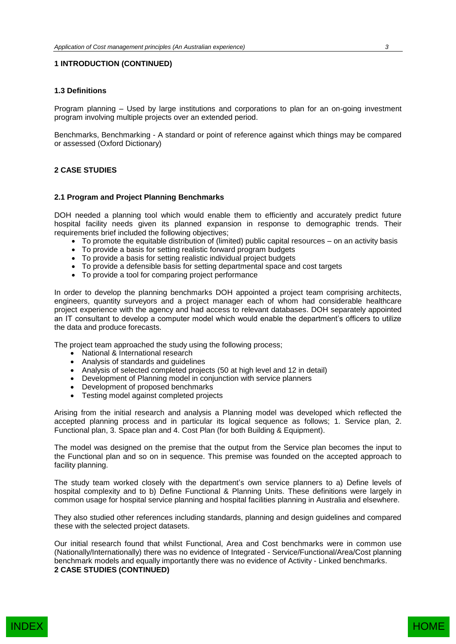# **1 INTRODUCTION (CONTINUED)**

#### **1.3 Definitions**

Program planning – Used by large institutions and corporations to plan for an on-going investment program involving multiple projects over an extended period.

Benchmarks, Benchmarking - A standard or point of reference against which things may be compared or assessed (Oxford Dictionary)

# **2 CASE STUDIES**

#### **2.1 Program and Project Planning Benchmarks**

DOH needed a planning tool which would enable them to efficiently and accurately predict future hospital facility needs given its planned expansion in response to demographic trends. Their requirements brief included the following objectives;

- To promote the equitable distribution of (limited) public capital resources on an activity basis
- To provide a basis for setting realistic forward program budgets
- To provide a basis for setting realistic individual project budgets
- To provide a defensible basis for setting departmental space and cost targets
- To provide a tool for comparing project performance

In order to develop the planning benchmarks DOH appointed a project team comprising architects, engineers, quantity surveyors and a project manager each of whom had considerable healthcare project experience with the agency and had access to relevant databases. DOH separately appointed an IT consultant to develop a computer model which would enable the department's officers to utilize the data and produce forecasts.

The project team approached the study using the following process;

- National & International research
- Analysis of standards and guidelines
- Analysis of selected completed projects (50 at high level and 12 in detail)
- Development of Planning model in conjunction with service planners
- Development of proposed benchmarks
- Testing model against completed projects

Arising from the initial research and analysis a Planning model was developed which reflected the accepted planning process and in particular its logical sequence as follows; 1. Service plan, 2. Functional plan, 3. Space plan and 4. Cost Plan (for both Building & Equipment).

The model was designed on the premise that the output from the Service plan becomes the input to the Functional plan and so on in sequence. This premise was founded on the accepted approach to facility planning.

The study team worked closely with the department's own service planners to a) Define levels of hospital complexity and to b) Define Functional & Planning Units. These definitions were largely in common usage for hospital service planning and hospital facilities planning in Australia and elsewhere.

They also studied other references including standards, planning and design guidelines and compared these with the selected project datasets.

Our initial research found that whilst Functional, Area and Cost benchmarks were in common use (Nationally/Internationally) there was no evidence of Integrated - Service/Functional/Area/Cost planning benchmark models and equally importantly there was no evidence of Activity - Linked benchmarks. **2 CASE STUDIES (CONTINUED)**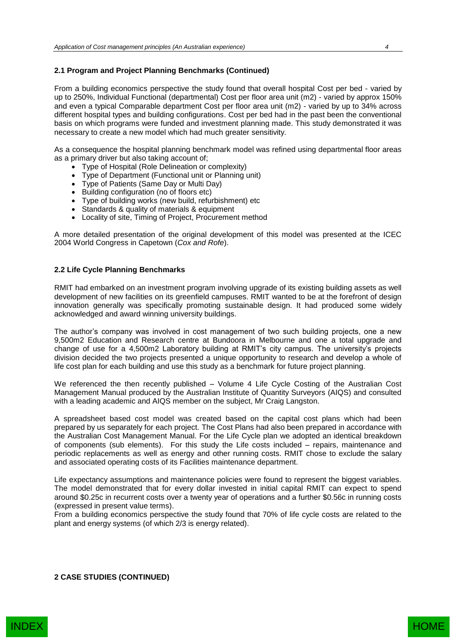# **2.1 Program and Project Planning Benchmarks (Continued)**

From a building economics perspective the study found that overall hospital Cost per bed - varied by up to 250%, Individual Functional (departmental) Cost per floor area unit (m2) - varied by approx 150% and even a typical Comparable department Cost per floor area unit (m2) - varied by up to 34% across different hospital types and building configurations. Cost per bed had in the past been the conventional basis on which programs were funded and investment planning made. This study demonstrated it was necessary to create a new model which had much greater sensitivity.

As a consequence the hospital planning benchmark model was refined using departmental floor areas as a primary driver but also taking account of;

- Type of Hospital (Role Delineation or complexity)
- Type of Department (Functional unit or Planning unit)
- Type of Patients (Same Day or Multi Day)
- Building configuration (no of floors etc)
- Type of building works (new build, refurbishment) etc
- Standards & quality of materials & equipment
- Locality of site, Timing of Project, Procurement method

A more detailed presentation of the original development of this model was presented at the ICEC 2004 World Congress in Capetown (*Cox and Rofe*).

# **2.2 Life Cycle Planning Benchmarks**

RMIT had embarked on an investment program involving upgrade of its existing building assets as well development of new facilities on its greenfield campuses. RMIT wanted to be at the forefront of design innovation generally was specifically promoting sustainable design. It had produced some widely acknowledged and award winning university buildings.

The author's company was involved in cost management of two such building projects, one a new 9,500m2 Education and Research centre at Bundoora in Melbourne and one a total upgrade and change of use for a 4,500m2 Laboratory building at RMIT's city campus. The university's projects division decided the two projects presented a unique opportunity to research and develop a whole of life cost plan for each building and use this study as a benchmark for future project planning.

We referenced the then recently published – Volume 4 Life Cycle Costing of the Australian Cost Management Manual produced by the Australian Institute of Quantity Surveyors (AIQS) and consulted with a leading academic and AIQS member on the subject, Mr Craig Langston.

A spreadsheet based cost model was created based on the capital cost plans which had been prepared by us separately for each project. The Cost Plans had also been prepared in accordance with the Australian Cost Management Manual. For the Life Cycle plan we adopted an identical breakdown of components (sub elements). For this study the Life costs included – repairs, maintenance and periodic replacements as well as energy and other running costs. RMIT chose to exclude the salary and associated operating costs of its Facilities maintenance department.

Life expectancy assumptions and maintenance policies were found to represent the biggest variables. The model demonstrated that for every dollar invested in initial capital RMIT can expect to spend around \$0.25c in recurrent costs over a twenty year of operations and a further \$0.56c in running costs (expressed in present value terms).

From a building economics perspective the study found that 70% of life cycle costs are related to the plant and energy systems (of which 2/3 is energy related).

**2 CASE STUDIES (CONTINUED)**

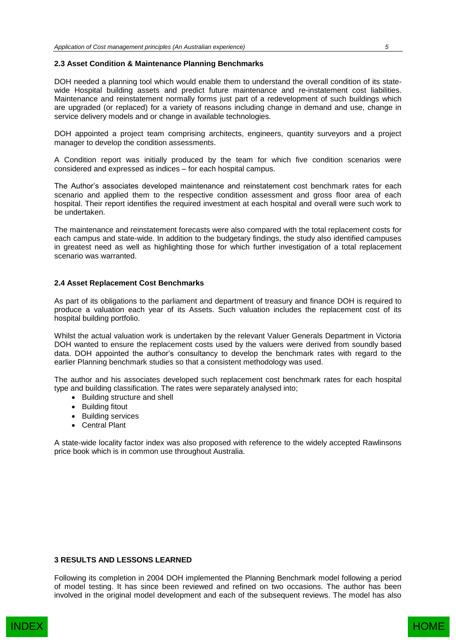#### **2.3 Asset Condition & Maintenance Planning Benchmarks**

DOH needed a planning tool which would enable them to understand the overall condition of its statewide Hospital building assets and predict future maintenance and re-instatement cost liabilities. Maintenance and reinstatement normally forms just part of a redevelopment of such buildings which are upgraded (or replaced) for a variety of reasons including change in demand and use, change in service delivery models and or change in available technologies.

DOH appointed a project team comprising architects, engineers, quantity surveyors and a project manager to develop the condition assessments.

A Condition report was initially produced by the team for which five condition scenarios were considered and expressed as indices – for each hospital campus.

The Author's associates developed maintenance and reinstatement cost benchmark rates for each scenario and applied them to the respective condition assessment and gross floor area of each hospital. Their report identifies the required investment at each hospital and overall were such work to be undertaken.

The maintenance and reinstatement forecasts were also compared with the total replacement costs for each campus and state-wide. In addition to the budgetary findings, the study also identified campuses in greatest need as well as highlighting those for which further investigation of a total replacement scenario was warranted.

#### **2.4 Asset Replacement Cost Benchmarks**

As part of its obligations to the parliament and department of treasury and finance DOH is required to produce a valuation each year of its Assets. Such valuation includes the replacement cost of its hospital building portfolio.

Whilst the actual valuation work is undertaken by the relevant Valuer Generals Department in Victoria DOH wanted to ensure the replacement costs used by the valuers were derived from soundly based data. DOH appointed the author's consultancy to develop the benchmark rates with regard to the earlier Planning benchmark studies so that a consistent methodology was used.

The author and his associates developed such replacement cost benchmark rates for each hospital type and building classification. The rates were separately analysed into;

- Building structure and shell
- Building fitout
- Building services
- Central Plant

A state-wide locality factor index was also proposed with reference to the widely accepted Rawlinsons price book which is in common use throughout Australia.

#### **3 RESULTS AND LESSONS LEARNED**

Following its completion in 2004 DOH implemented the Planning Benchmark model following a period of model testing. It has since been reviewed and refined on two occasions. The author has been involved in the original model development and each of the subsequent reviews. The model has also

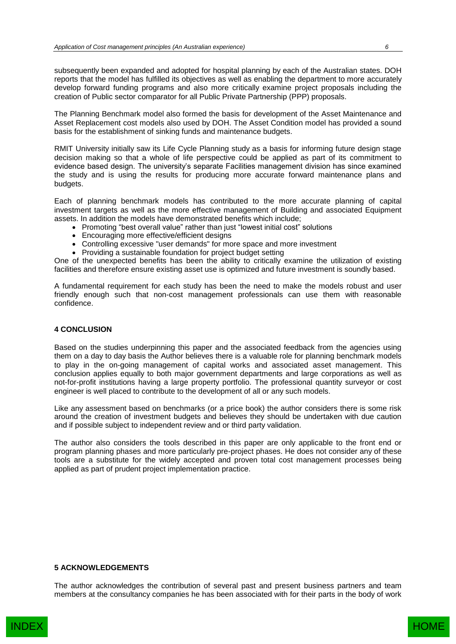subsequently been expanded and adopted for hospital planning by each of the Australian states. DOH reports that the model has fulfilled its objectives as well as enabling the department to more accurately develop forward funding programs and also more critically examine project proposals including the creation of Public sector comparator for all Public Private Partnership (PPP) proposals.

The Planning Benchmark model also formed the basis for development of the Asset Maintenance and Asset Replacement cost models also used by DOH. The Asset Condition model has provided a sound basis for the establishment of sinking funds and maintenance budgets.

RMIT University initially saw its Life Cycle Planning study as a basis for informing future design stage decision making so that a whole of life perspective could be applied as part of its commitment to evidence based design. The university's separate Facilities management division has since examined the study and is using the results for producing more accurate forward maintenance plans and budgets.

Each of planning benchmark models has contributed to the more accurate planning of capital investment targets as well as the more effective management of Building and associated Equipment assets. In addition the models have demonstrated benefits which include;

- Promoting "best overall value" rather than just "lowest initial cost" solutions
- Encouraging more effective/efficient designs
- Controlling excessive "user demands" for more space and more investment
- Providing a sustainable foundation for project budget setting

One of the unexpected benefits has been the ability to critically examine the utilization of existing facilities and therefore ensure existing asset use is optimized and future investment is soundly based.

A fundamental requirement for each study has been the need to make the models robust and user friendly enough such that non-cost management professionals can use them with reasonable confidence.

# **4 CONCLUSION**

Based on the studies underpinning this paper and the associated feedback from the agencies using them on a day to day basis the Author believes there is a valuable role for planning benchmark models to play in the on-going management of capital works and associated asset management. This conclusion applies equally to both major government departments and large corporations as well as not-for-profit institutions having a large property portfolio. The professional quantity surveyor or cost engineer is well placed to contribute to the development of all or any such models.

Like any assessment based on benchmarks (or a price book) the author considers there is some risk around the creation of investment budgets and believes they should be undertaken with due caution and if possible subject to independent review and or third party validation.

The author also considers the tools described in this paper are only applicable to the front end or program planning phases and more particularly pre-project phases. He does not consider any of these tools are a substitute for the widely accepted and proven total cost management processes being applied as part of prudent project implementation practice.

# **5 ACKNOWLEDGEMENTS**

The author acknowledges the contribution of several past and present business partners and team members at the consultancy companies he has been associated with for their parts in the body of work